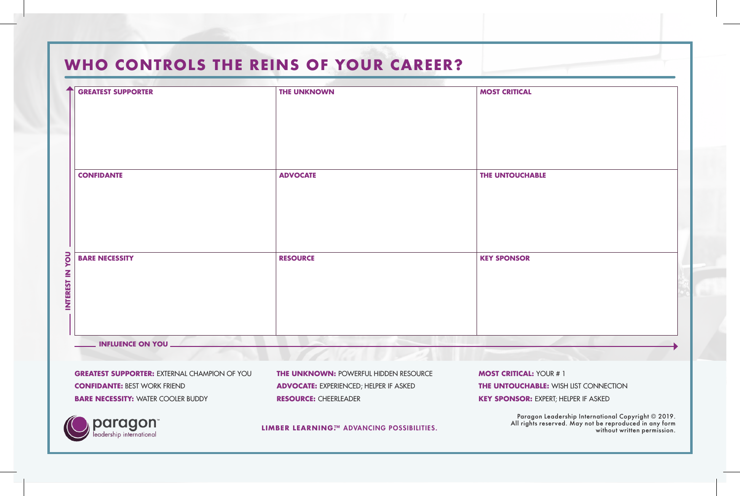### WHO CONTROLS THE REINS OF YOUR CAREER?

| $\ddotmark$     | <b>GREATEST SUPPORTER</b> | <b>THE UNKNOWN</b> | <b>MOST CRITICAL</b> |
|-----------------|---------------------------|--------------------|----------------------|
|                 |                           |                    |                      |
|                 |                           |                    |                      |
|                 |                           |                    |                      |
|                 |                           |                    |                      |
|                 | <b>CONFIDANTE</b>         | <b>ADVOCATE</b>    | THE UNTOUCHABLE      |
|                 |                           |                    |                      |
|                 |                           |                    |                      |
|                 |                           |                    |                      |
|                 |                           |                    |                      |
|                 | <b>BARE NECESSITY</b>     | <b>RESOURCE</b>    | <b>KEY SPONSOR</b>   |
|                 |                           |                    |                      |
| INTEREST IN YOU |                           |                    |                      |
|                 |                           |                    |                      |
|                 |                           |                    |                      |
|                 | <b>INFLUENCE ON YOU _</b> |                    |                      |

**GREATEST SUPPORTER:** EXTERNAL CHAMPION OF YOU **CONFIDANTE:** BEST WORK FRIEND **BARE NECESSITY: WATER COOLER BUDDY** 

> paragon leadership international

**THE UNKNOWN:** POWERFUL HIDDEN RESOURCE **ADVOCATE:** EXPERIENCED; HELPER IF ASKED **RESOURCE:** CHEERLEADER

**MOST CRITICAL:** YOUR # 1 **THE UNTOUCHABLE:** WISH LIST CONNECTION **KEY SPONSOR:** EXPERT; HELPER IF ASKED

Paragon Leadership International Copyright © 2019.<br>All rights reserved. May not be reproduced in any form<br>without written permission. without written permission.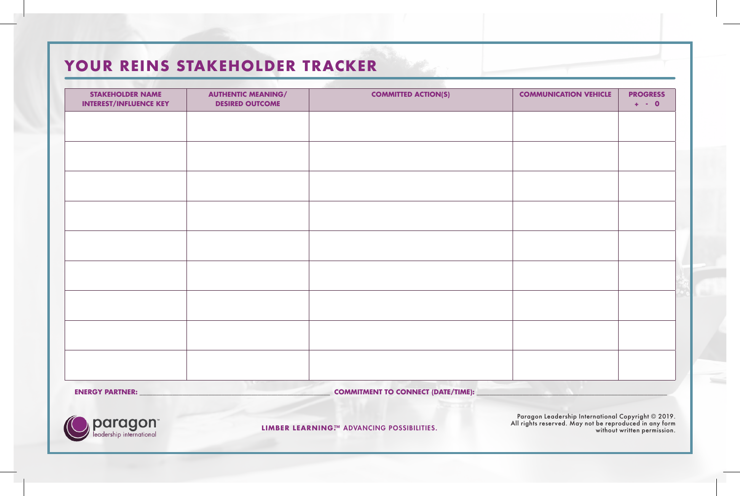## YOUR REINS STAKEHOLDER TRACKER

| <b>STAKEHOLDER NAME</b><br><b>INTEREST/INFLUENCE KEY</b> | <b>AUTHENTIC MEANING/</b><br><b>DESIRED OUTCOME</b> | <b>COMMITTED ACTION(S)</b> | <b>COMMUNICATION VEHICLE</b> | <b>PROGRESS</b><br>$+ - 0$ |
|----------------------------------------------------------|-----------------------------------------------------|----------------------------|------------------------------|----------------------------|
|                                                          |                                                     |                            |                              |                            |
|                                                          |                                                     |                            |                              |                            |
|                                                          |                                                     |                            |                              |                            |
|                                                          |                                                     |                            |                              |                            |
|                                                          |                                                     |                            |                              |                            |
|                                                          |                                                     |                            |                              |                            |
|                                                          |                                                     |                            |                              |                            |
|                                                          |                                                     |                            |                              |                            |
|                                                          |                                                     |                            |                              |                            |
|                                                          |                                                     |                            |                              |                            |
|                                                          |                                                     |                            |                              |                            |



Paragon Leadership International Copyright © 2019.<br>All rights reserved. May not be reproduced in any form<br>without written permission. without written permission.